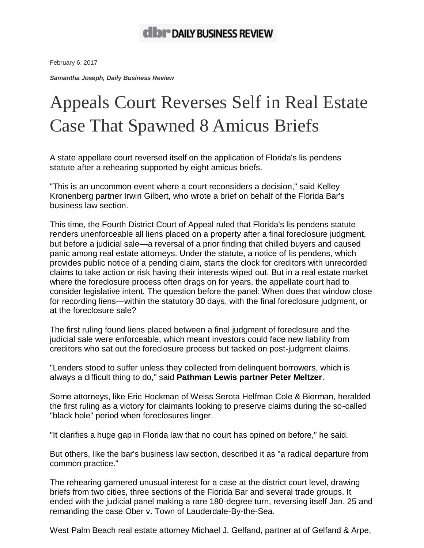February 6, 2017

*Samantha Joseph, Daily Business Review*

## Appeals Court Reverses Self in Real Estate Case That Spawned 8 Amicus Briefs

A state appellate court reversed itself on the [application](https://edca.4dca.org/DCADocs/2014/4597/144597_DC13_01252017_085332_i.pdf) of Florida's lis pendens [statute](https://edca.4dca.org/DCADocs/2014/4597/144597_DC13_01252017_085332_i.pdf) after a rehearing supported by eight amicus briefs.

"This is an uncommon event where a court reconsiders a decision," said Kelley Kronenberg partner Irwin Gilbert, who [wrote](http://pdfserver.amlaw.com/dbr/Business-Law-Section-Ober-Amicus-Brief.pdf) a brief on behalf of the Florida Bar's business law section.

This time, the Fourth District Court of Appeal ruled that Florida's lis pendens statute renders unenforceable all liens placed on a property after a final foreclosure judgment, but before a judicial sale—a reversal of a prior finding that chilled [buyers](http://www.dailybusinessreview.com/id=1202766047942?keywords=james+ober) and caused panic among real estate attorneys. Under the statute, a notice of lis pendens, which provides public notice of a pending claim, starts the clock for creditors with unrecorded claims to take action or risk having their interests wiped out. But in a real estate market where the foreclosure process often drags on for years, the appellate court had to consider legislative intent. The question before the panel: When does that window close for recording liens—within the statutory 30 days, with the final foreclosure judgment, or at the foreclosure sale?

The first ruling found liens placed between a final judgment of foreclosure and the judicial sale were enforceable, which meant investors could face new liability from creditors who sat out the foreclosure process but tacked on post-judgment claims.

"Lenders stood to suffer unless they collected from delinquent borrowers, which is always a difficult thing to do," said **Pathman Lewis partner Peter Meltzer**.

Some attorneys, like Eric Hockman of Weiss Serota Helfman Cole & Bierman, heralded the first ruling as a victory for claimants looking to preserve claims during the so-called "black hole" period when foreclosures linger.

"It clarifies a huge gap in Florida law that no court has opined on before," he said.

But others, like the bar's business law section, described it as "a radical departure from common practice."

The rehearing garnered unusual interest for a case at the district court level, drawing briefs from two cities, three sections of the Florida Bar and several trade groups. It ended with the judicial panel making a rare 180-degree turn, reversing itself Jan. 25 and remanding the case Ober v. Town of Lauderdale-By-the-Sea.

West Palm Beach real estate attorney Michael J. Gelfand, partner at of Gelfand & Arpe,